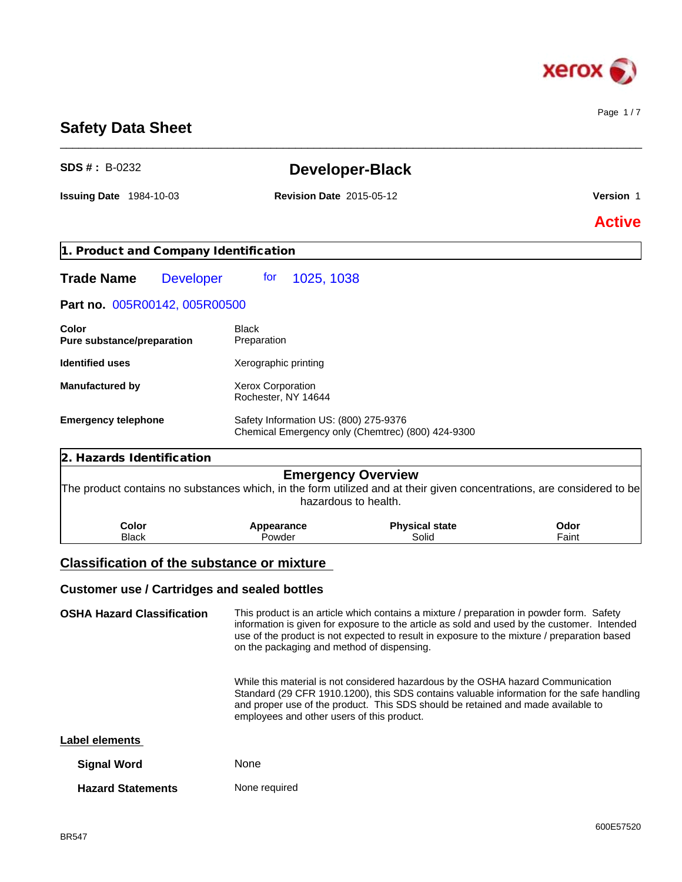

Page 1 / 7

# **Safety Data Sheet**

| <b>SDS #: B-0232</b>                                |                                                 | <b>Developer-Black</b>                                                                                                                                                                                                                                                                 |               |
|-----------------------------------------------------|-------------------------------------------------|----------------------------------------------------------------------------------------------------------------------------------------------------------------------------------------------------------------------------------------------------------------------------------------|---------------|
| <b>Issuing Date 1984-10-03</b>                      | <b>Revision Date 2015-05-12</b>                 |                                                                                                                                                                                                                                                                                        | Version 1     |
|                                                     |                                                 |                                                                                                                                                                                                                                                                                        | <b>Active</b> |
| 1. Product and Company Identification               |                                                 |                                                                                                                                                                                                                                                                                        |               |
| <b>Trade Name</b><br><b>Developer</b>               | 1025, 1038<br>tor                               |                                                                                                                                                                                                                                                                                        |               |
| Part no. 005R00142, 005R00500                       |                                                 |                                                                                                                                                                                                                                                                                        |               |
| Color<br>Pure substance/preparation                 | <b>Black</b><br>Preparation                     |                                                                                                                                                                                                                                                                                        |               |
| <b>Identified uses</b>                              | Xerographic printing                            |                                                                                                                                                                                                                                                                                        |               |
| <b>Manufactured by</b>                              | <b>Xerox Corporation</b><br>Rochester, NY 14644 |                                                                                                                                                                                                                                                                                        |               |
| <b>Emergency telephone</b>                          | Safety Information US: (800) 275-9376           | Chemical Emergency only (Chemtrec) (800) 424-9300                                                                                                                                                                                                                                      |               |
| 2. Hazards Identification                           |                                                 |                                                                                                                                                                                                                                                                                        |               |
|                                                     |                                                 | <b>Emergency Overview</b><br>The product contains no substances which, in the form utilized and at their given concentrations, are considered to be<br>hazardous to health.                                                                                                            |               |
| Color<br><b>Black</b>                               | Appearance<br>Powder                            | <b>Physical state</b><br>Solid                                                                                                                                                                                                                                                         | Odor<br>Faint |
| <b>Classification of the substance or mixture</b>   |                                                 |                                                                                                                                                                                                                                                                                        |               |
| <b>Customer use / Cartridges and sealed bottles</b> |                                                 |                                                                                                                                                                                                                                                                                        |               |
| <b>OSHA Hazard Classification</b>                   | on the packaging and method of dispensing.      | This product is an article which contains a mixture / preparation in powder form. Safety<br>information is given for exposure to the article as sold and used by the customer. Intended<br>use of the product is not expected to result in exposure to the mixture / preparation based |               |

\_\_\_\_\_\_\_\_\_\_\_\_\_\_\_\_\_\_\_\_\_\_\_\_\_\_\_\_\_\_\_\_\_\_\_\_\_\_\_\_\_\_\_\_\_\_\_\_\_\_\_\_\_\_\_\_\_\_\_\_\_\_\_\_\_\_\_\_\_\_\_\_\_\_\_\_\_\_\_\_\_\_\_\_\_\_\_\_\_\_\_\_\_\_

While this material is not considered hazardous by the OSHA hazard Communication Standard (29 CFR 1910.1200), this SDS contains valuable information for the safe handling and proper use of the product. This SDS should be retained and made available to employees and other users of this product.

#### **Label elements**

| <b>Signal Word</b>       | <b>None</b>   |
|--------------------------|---------------|
| <b>Hazard Statements</b> | None required |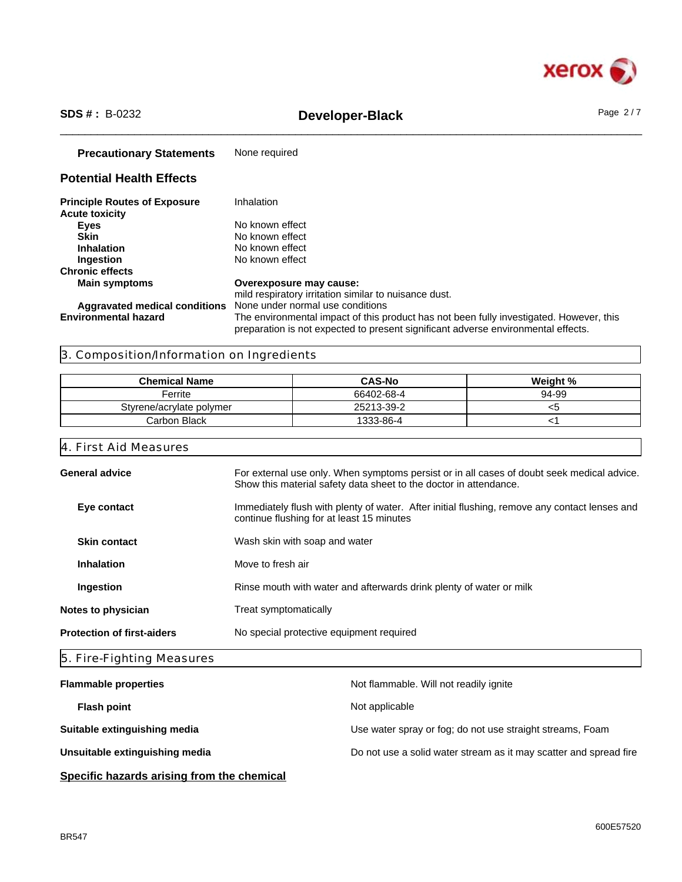

# \_\_\_\_\_\_\_\_\_\_\_\_\_\_\_\_\_\_\_\_\_\_\_\_\_\_\_\_\_\_\_\_\_\_\_\_\_\_\_\_\_\_\_\_\_\_\_\_\_\_\_\_\_\_\_\_\_\_\_\_\_\_\_\_\_\_\_\_\_\_\_\_\_\_\_\_\_\_\_\_\_\_\_\_\_\_\_\_\_\_\_\_\_\_ **SDS # :** B-0232 **Developer-Black** Page 2 / 7

| <b>Precautionary Statements</b>                              | None required                                                                                                                                                                |
|--------------------------------------------------------------|------------------------------------------------------------------------------------------------------------------------------------------------------------------------------|
| <b>Potential Health Effects</b>                              |                                                                                                                                                                              |
| <b>Principle Routes of Exposure</b><br><b>Acute toxicity</b> | Inhalation                                                                                                                                                                   |
| <b>Eyes</b>                                                  | No known effect                                                                                                                                                              |
| Skin                                                         | No known effect                                                                                                                                                              |
| <b>Inhalation</b>                                            | No known effect                                                                                                                                                              |
| Ingestion                                                    | No known effect                                                                                                                                                              |
| <b>Chronic effects</b>                                       |                                                                                                                                                                              |
| <b>Main symptoms</b>                                         | Overexposure may cause:                                                                                                                                                      |
|                                                              | mild respiratory irritation similar to nuisance dust.                                                                                                                        |
| Aggravated medical conditions                                | None under normal use conditions                                                                                                                                             |
| <b>Environmental hazard</b>                                  | The environmental impact of this product has not been fully investigated. However, this<br>preparation is not expected to present significant adverse environmental effects. |

# 3. Composition/Information on Ingredients

| <b>Chemical Name</b>     | <b>CAS-No</b> | Weight % |
|--------------------------|---------------|----------|
| Ferrite                  | 66402-68-4    | 94-99    |
| Styrene/acrylate polymer | 25213-39-2    | ເວ       |
| Carbon Black             | 1333-86-4     |          |

## 4. First Aid Measures

| <b>General advice</b><br>For external use only. When symptoms persist or in all cases of doubt seek medical advice.<br>Show this material safety data sheet to the doctor in attendance.<br>Immediately flush with plenty of water. After initial flushing, remove any contact lenses and<br>Eye contact<br>continue flushing for at least 15 minutes<br><b>Skin contact</b><br>Wash skin with soap and water<br>Move to fresh air<br><b>Inhalation</b><br>Rinse mouth with water and afterwards drink plenty of water or milk<br>Ingestion<br>Notes to physician<br>Treat symptomatically | <b>Protection of first-aiders</b> | No special protective equipment required |
|--------------------------------------------------------------------------------------------------------------------------------------------------------------------------------------------------------------------------------------------------------------------------------------------------------------------------------------------------------------------------------------------------------------------------------------------------------------------------------------------------------------------------------------------------------------------------------------------|-----------------------------------|------------------------------------------|
|                                                                                                                                                                                                                                                                                                                                                                                                                                                                                                                                                                                            |                                   |                                          |
|                                                                                                                                                                                                                                                                                                                                                                                                                                                                                                                                                                                            |                                   |                                          |
|                                                                                                                                                                                                                                                                                                                                                                                                                                                                                                                                                                                            |                                   |                                          |
|                                                                                                                                                                                                                                                                                                                                                                                                                                                                                                                                                                                            |                                   |                                          |
|                                                                                                                                                                                                                                                                                                                                                                                                                                                                                                                                                                                            |                                   |                                          |
|                                                                                                                                                                                                                                                                                                                                                                                                                                                                                                                                                                                            |                                   |                                          |

# 5. Fire-Fighting Measures

| <b>Flammable properties</b>    | Not flammable. Will not readily ignite                            |
|--------------------------------|-------------------------------------------------------------------|
| <b>Flash point</b>             | Not applicable                                                    |
| Suitable extinguishing media   | Use water spray or fog; do not use straight streams, Foam         |
| Unsuitable extinguishing media | Do not use a solid water stream as it may scatter and spread fire |
|                                |                                                                   |

# **Specific hazards arising from the chemical**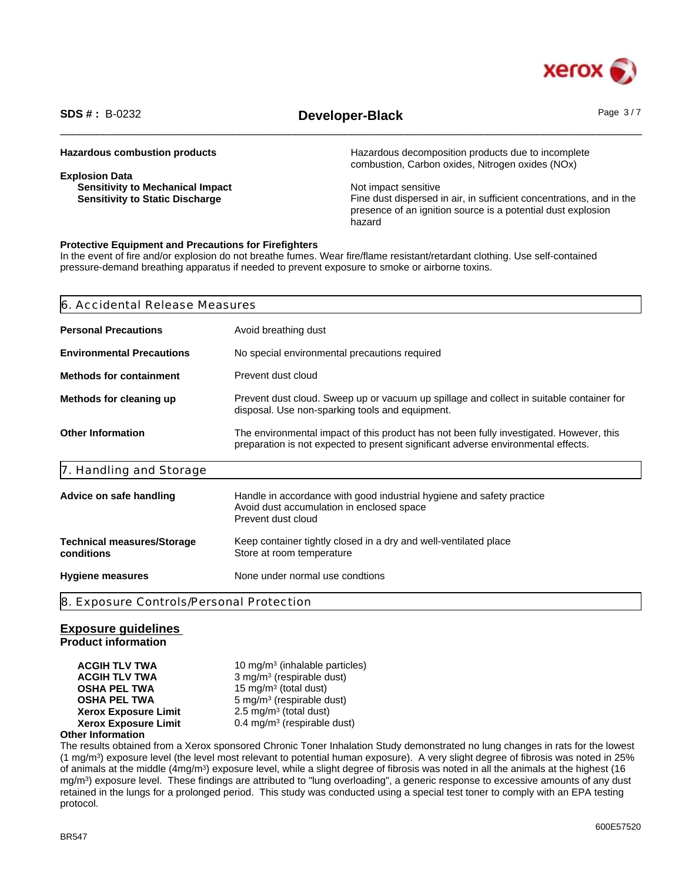

# \_\_\_\_\_\_\_\_\_\_\_\_\_\_\_\_\_\_\_\_\_\_\_\_\_\_\_\_\_\_\_\_\_\_\_\_\_\_\_\_\_\_\_\_\_\_\_\_\_\_\_\_\_\_\_\_\_\_\_\_\_\_\_\_\_\_\_\_\_\_\_\_\_\_\_\_\_\_\_\_\_\_\_\_\_\_\_\_\_\_\_\_\_\_ **SDS # :** B-0232 **Developer-Black** Page 3 / 7

| <b>Hazardous combustion products</b>    | Hazardous decomposition products due to incomplete<br>combustion, Carbon oxides, Nitrogen oxides (NOx) |
|-----------------------------------------|--------------------------------------------------------------------------------------------------------|
| <b>Explosion Data</b>                   |                                                                                                        |
| <b>Sensitivity to Mechanical Impact</b> | Not impact sensitive                                                                                   |
| <b>Sensitivity to Static Discharge</b>  | Fine dust dispersed in air, in sufficient concentrations, and in the                                   |
|                                         | presence of an ignition source is a potential dust explosion                                           |
|                                         | hazard                                                                                                 |

#### **Protective Equipment and Precautions for Firefighters**

In the event of fire and/or explosion do not breathe fumes. Wear fire/flame resistant/retardant clothing. Use self-contained pressure-demand breathing apparatus if needed to prevent exposure to smoke or airborne toxins.

| 6. Accidental Release Measures                  |                                                                                                                                                                              |
|-------------------------------------------------|------------------------------------------------------------------------------------------------------------------------------------------------------------------------------|
| <b>Personal Precautions</b>                     | Avoid breathing dust                                                                                                                                                         |
| <b>Environmental Precautions</b>                | No special environmental precautions required                                                                                                                                |
| <b>Methods for containment</b>                  | Prevent dust cloud                                                                                                                                                           |
| Methods for cleaning up                         | Prevent dust cloud. Sweep up or vacuum up spillage and collect in suitable container for<br>disposal. Use non-sparking tools and equipment.                                  |
| <b>Other Information</b>                        | The environmental impact of this product has not been fully investigated. However, this<br>preparation is not expected to present significant adverse environmental effects. |
| 7. Handling and Storage                         |                                                                                                                                                                              |
| Advice on safe handling                         | Handle in accordance with good industrial hygiene and safety practice<br>Avoid dust accumulation in enclosed space<br>Prevent dust cloud                                     |
| <b>Technical measures/Storage</b><br>conditions | Keep container tightly closed in a dry and well-ventilated place<br>Store at room temperature                                                                                |
| <b>Hygiene measures</b>                         | None under normal use condtions                                                                                                                                              |
| 8. Exposure Controls/Personal Protection        |                                                                                                                                                                              |

#### **Exposure guidelines**

**Product information**

**ACGIH TLV TWA** 10 mg/m<sup>3</sup> (inhalable particles) **ACGIH TLV TWA** 3 mg/m<sup>3</sup> (respirable dust) **OSHA PEL TWA** 15 mg/m<sup>3</sup> (total dust) **OSHA PEL TWA** 5 mg/m<sup>3</sup> (respirable dust) **Xerox Exposure Limit**  $2.5 \text{ mg/m}^3$  (total dust) **Xerox Exposure Limit** 0.4 mg/m<sup>3</sup> (respirable dust)

#### **Other Information**

The results obtained from a Xerox sponsored Chronic Toner Inhalation Study demonstrated no lung changes in rats for the lowest (1 mg/m<sup>3</sup> ) exposure level (the level most relevant to potential human exposure). A very slight degree of fibrosis was noted in 25% of animals at the middle (4mg/m<sup>3</sup>) exposure level, while a slight degree of fibrosis was noted in all the animals at the highest (16 mg/m<sup>3</sup> ) exposure level. These findings are attributed to "lung overloading", a generic response to excessive amounts of any dust retained in the lungs for a prolonged period. This study was conducted using a special test toner to comply with an EPA testing protocol.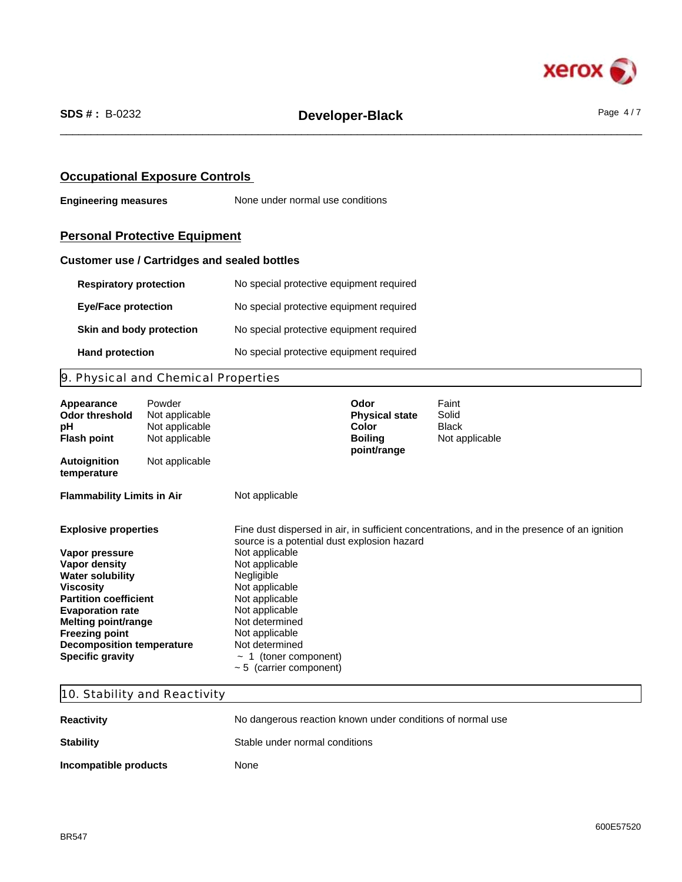

### **Occupational Exposure Controls**

**Engineering measures** None under normal use conditions

# **Personal Protective Equipment**

### **Customer use / Cartridges and sealed bottles**

| <b>Respiratory protection</b> | No special protective equipment required |
|-------------------------------|------------------------------------------|
| <b>Eye/Face protection</b>    | No special protective equipment required |
| Skin and body protection      | No special protective equipment required |
| <b>Hand protection</b>        | No special protective equipment required |

# 9. Physical and Chemical Properties

| Appearance<br>Odor threshold<br>рH<br><b>Flash point</b> | Powder<br>Not applicable<br>Not applicable<br>Not applicable |                                              | Odor<br><b>Physical state</b><br><b>Color</b><br><b>Boiling</b><br>point/range | Faint<br>Solid<br><b>Black</b><br>Not applicable                                             |  |  |
|----------------------------------------------------------|--------------------------------------------------------------|----------------------------------------------|--------------------------------------------------------------------------------|----------------------------------------------------------------------------------------------|--|--|
| <b>Autoignition</b><br>temperature                       | Not applicable                                               |                                              |                                                                                |                                                                                              |  |  |
| <b>Flammability Limits in Air</b>                        |                                                              | Not applicable                               |                                                                                |                                                                                              |  |  |
| <b>Explosive properties</b>                              |                                                              | source is a potential dust explosion hazard  |                                                                                | Fine dust dispersed in air, in sufficient concentrations, and in the presence of an ignition |  |  |
| Vapor pressure                                           |                                                              | Not applicable                               |                                                                                |                                                                                              |  |  |
| Vapor density                                            |                                                              | Not applicable                               |                                                                                |                                                                                              |  |  |
| <b>Water solubility</b>                                  |                                                              | Negligible                                   |                                                                                |                                                                                              |  |  |
| Viscosity<br><b>Partition coefficient</b>                |                                                              | Not applicable<br>Not applicable             |                                                                                |                                                                                              |  |  |
| <b>Evaporation rate</b>                                  |                                                              | Not applicable                               |                                                                                |                                                                                              |  |  |
| <b>Melting point/range</b>                               |                                                              | Not determined                               |                                                                                |                                                                                              |  |  |
| <b>Freezing point</b>                                    |                                                              | Not applicable                               |                                                                                |                                                                                              |  |  |
| <b>Decomposition temperature</b>                         |                                                              | Not determined                               |                                                                                |                                                                                              |  |  |
| <b>Specific gravity</b>                                  |                                                              | 1 (toner component)<br>$\tilde{\phantom{a}}$ |                                                                                |                                                                                              |  |  |
|                                                          |                                                              | $~5$ (carrier component)                     |                                                                                |                                                                                              |  |  |

# 10. Stability and Reactivity

| <b>Reactivity</b>     | No dangerous reaction known under conditions of normal use |
|-----------------------|------------------------------------------------------------|
| <b>Stability</b>      | Stable under normal conditions                             |
| Incompatible products | None                                                       |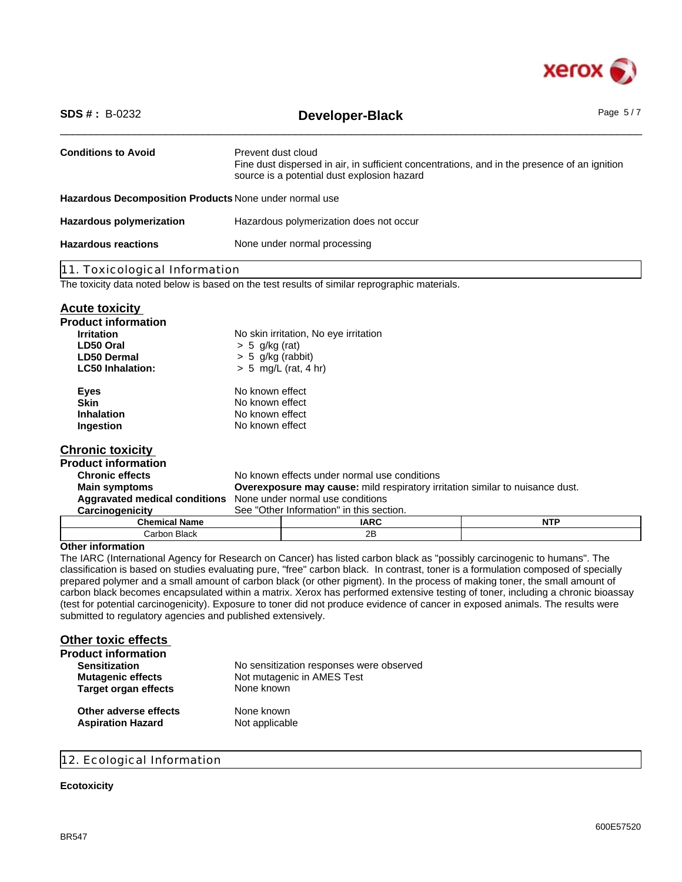

| <b>SDS #</b> : $B-0232$                                                                       |                                                                                                                                                                   | Developer-Black                                                                      | Page $5/7$ |  |
|-----------------------------------------------------------------------------------------------|-------------------------------------------------------------------------------------------------------------------------------------------------------------------|--------------------------------------------------------------------------------------|------------|--|
| <b>Conditions to Avoid</b>                                                                    | Prevent dust cloud<br>Fine dust dispersed in air, in sufficient concentrations, and in the presence of an ignition<br>source is a potential dust explosion hazard |                                                                                      |            |  |
| Hazardous Decomposition Products None under normal use                                        |                                                                                                                                                                   |                                                                                      |            |  |
| <b>Hazardous polymerization</b>                                                               |                                                                                                                                                                   | Hazardous polymerization does not occur                                              |            |  |
| <b>Hazardous reactions</b>                                                                    |                                                                                                                                                                   | None under normal processing                                                         |            |  |
| 11. Toxicological Information                                                                 |                                                                                                                                                                   |                                                                                      |            |  |
| The toxicity data noted below is based on the test results of similar reprographic materials. |                                                                                                                                                                   |                                                                                      |            |  |
| <b>Acute toxicity</b>                                                                         |                                                                                                                                                                   |                                                                                      |            |  |
| <b>Product information</b>                                                                    |                                                                                                                                                                   |                                                                                      |            |  |
| <b>Irritation</b>                                                                             |                                                                                                                                                                   | No skin irritation, No eye irritation                                                |            |  |
| LD50 Oral                                                                                     | $> 5$ g/kg (rat)                                                                                                                                                  |                                                                                      |            |  |
| <b>LD50 Dermal</b>                                                                            | $> 5$ g/kg (rabbit)                                                                                                                                               |                                                                                      |            |  |
| <b>LC50 Inhalation:</b>                                                                       | $> 5$ mg/L (rat, 4 hr)                                                                                                                                            |                                                                                      |            |  |
| <b>Eyes</b>                                                                                   | No known effect                                                                                                                                                   |                                                                                      |            |  |
| <b>Skin</b>                                                                                   | No known effect                                                                                                                                                   |                                                                                      |            |  |
| Inhalation                                                                                    | No known effect                                                                                                                                                   |                                                                                      |            |  |
| Ingestion                                                                                     | No known effect                                                                                                                                                   |                                                                                      |            |  |
| <b>Chronic toxicity</b>                                                                       |                                                                                                                                                                   |                                                                                      |            |  |
| <b>Product information</b>                                                                    |                                                                                                                                                                   |                                                                                      |            |  |
| <b>Chronic effects</b>                                                                        |                                                                                                                                                                   | No known effects under normal use conditions                                         |            |  |
| <b>Main symptoms</b>                                                                          |                                                                                                                                                                   | <b>Overexposure may cause:</b> mild respiratory irritation similar to nuisance dust. |            |  |
| <b>Aggravated medical conditions</b>                                                          |                                                                                                                                                                   | None under normal use conditions                                                     |            |  |
| Carcinogenicity                                                                               |                                                                                                                                                                   | See "Other Information" in this section.                                             |            |  |
| <b>Chemical Name</b>                                                                          |                                                                                                                                                                   | <b>IARC</b>                                                                          | <b>NTP</b> |  |
| Carbon Black                                                                                  |                                                                                                                                                                   | 2B                                                                                   |            |  |
| <b>Other information</b>                                                                      |                                                                                                                                                                   |                                                                                      |            |  |

The IARC (International Agency for Research on Cancer) has listed carbon black as "possibly carcinogenic to humans". The classification is based on studies evaluating pure, "free" carbon black. In contrast, toner is a formulation composed of specially prepared polymer and a small amount of carbon black (or other pigment). In the process of making toner, the small amount of carbon black becomes encapsulated within a matrix. Xerox has performed extensive testing of toner, including a chronic bioassay (test for potential carcinogenicity). Exposure to toner did not produce evidence of cancer in exposed animals. The results were submitted to regulatory agencies and published extensively.

| <b>Other toxic effects</b>  |                                          |
|-----------------------------|------------------------------------------|
| <b>Product information</b>  |                                          |
| <b>Sensitization</b>        | No sensitization responses were observed |
| <b>Mutagenic effects</b>    | Not mutagenic in AMES Test               |
| <b>Target organ effects</b> | None known                               |
| Other adverse effects       | None known                               |
| <b>Aspiration Hazard</b>    | Not applicable                           |

#### 12. Ecological Information

#### **Ecotoxicity**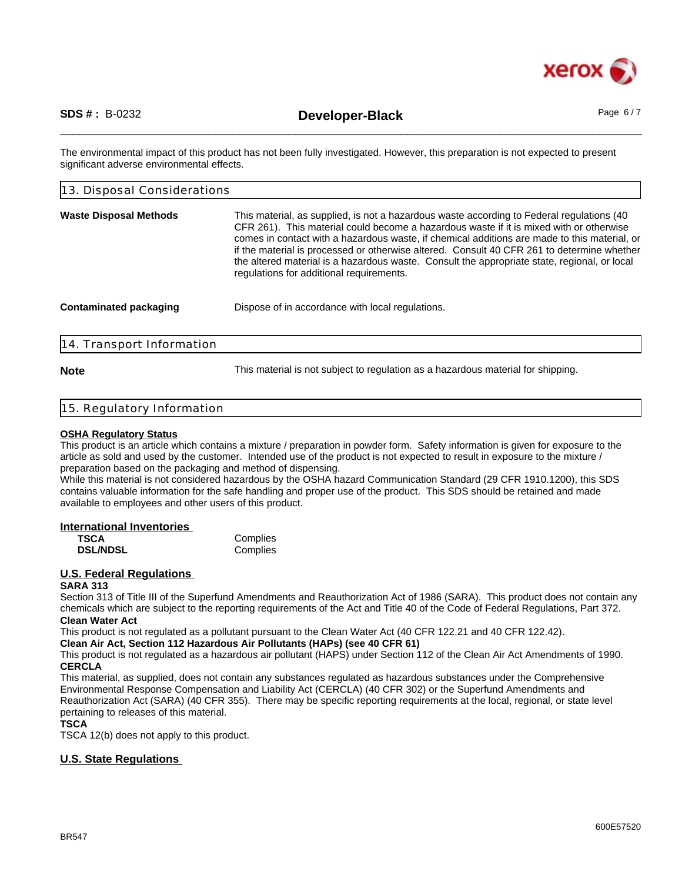

\_\_\_\_\_\_\_\_\_\_\_\_\_\_\_\_\_\_\_\_\_\_\_\_\_\_\_\_\_\_\_\_\_\_\_\_\_\_\_\_\_\_\_\_\_\_\_\_\_\_\_\_\_\_\_\_\_\_\_\_\_\_\_\_\_\_\_\_\_\_\_\_\_\_\_\_\_\_\_\_\_\_\_\_\_\_\_\_\_\_\_\_\_\_ **SDS # :** B-0232 **Developer-Black** Page 6 / 7

The environmental impact of this product has not been fully investigated. However, this preparation is not expected to present significant adverse environmental effects.

| 13. Disposal Considerations   |                                                                                                                                                                                                                                                                                                                                                                                                                                                                                                                                |  |
|-------------------------------|--------------------------------------------------------------------------------------------------------------------------------------------------------------------------------------------------------------------------------------------------------------------------------------------------------------------------------------------------------------------------------------------------------------------------------------------------------------------------------------------------------------------------------|--|
| <b>Waste Disposal Methods</b> | This material, as supplied, is not a hazardous waste according to Federal regulations (40<br>CFR 261). This material could become a hazardous waste if it is mixed with or otherwise<br>comes in contact with a hazardous waste, if chemical additions are made to this material, or<br>if the material is processed or otherwise altered. Consult 40 CFR 261 to determine whether<br>the altered material is a hazardous waste. Consult the appropriate state, regional, or local<br>regulations for additional requirements. |  |
| <b>Contaminated packaging</b> | Dispose of in accordance with local regulations.                                                                                                                                                                                                                                                                                                                                                                                                                                                                               |  |
| 14. Transport Information     |                                                                                                                                                                                                                                                                                                                                                                                                                                                                                                                                |  |

**Note** This material is not subject to regulation as a hazardous material for shipping.

#### 15. Regulatory Information

#### **OSHA Regulatory Status**

This product is an article which contains a mixture / preparation in powder form. Safety information is given for exposure to the article as sold and used by the customer. Intended use of the product is not expected to result in exposure to the mixture / preparation based on the packaging and method of dispensing.

While this material is not considered hazardous by the OSHA hazard Communication Standard (29 CFR 1910.1200), this SDS contains valuable information for the safe handling and proper use of the product. This SDS should be retained and made available to employees and other users of this product.

#### **International Inventories**

| <b>TSCA</b>     | Complies |
|-----------------|----------|
| <b>DSL/NDSL</b> | Complies |

#### **U.S. Federal Regulations**

#### **SARA 313**

Section 313 of Title III of the Superfund Amendments and Reauthorization Act of 1986 (SARA). This product does not contain any chemicals which are subject to the reporting requirements of the Act and Title 40 of the Code of Federal Regulations, Part 372. **Clean Water Act**

This product is not regulated as a pollutant pursuant to the Clean Water Act (40 CFR 122.21 and 40 CFR 122.42).

**Clean Air Act, Section 112 Hazardous Air Pollutants (HAPs) (see 40 CFR 61)**

This product is not regulated as a hazardous air pollutant (HAPS) under Section 112 of the Clean Air Act Amendments of 1990. **CERCLA**

This material, as supplied, does not contain any substances regulated as hazardous substances under the Comprehensive Environmental Response Compensation and Liability Act (CERCLA) (40 CFR 302) or the Superfund Amendments and Reauthorization Act (SARA) (40 CFR 355). There may be specific reporting requirements at the local, regional, or state level pertaining to releases of this material.

#### **TSCA**

TSCA 12(b) does not apply to this product.

#### **U.S. State Regulations**